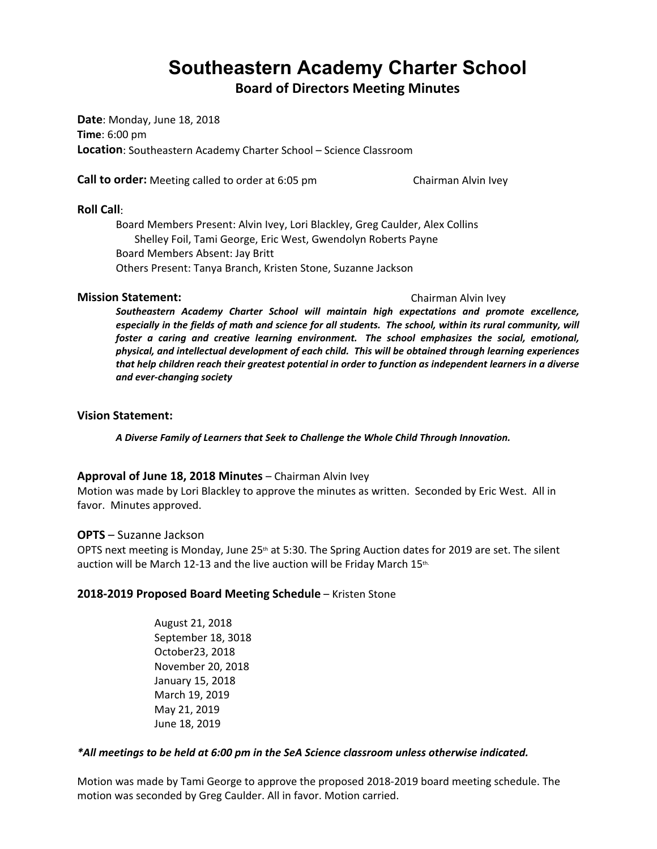# **Southeastern Academy Charter School**

**Board of Directors Meeting Minutes**

**Date**: Monday, June 18, 2018 **Time**: 6:00 pm **Location**: Southeastern Academy Charter School – Science Classroom

**Call to order:** Meeting called to order at 6:05 pm Chairman Alvin Ivey

#### **Roll Call**:

Board Members Present: Alvin Ivey, Lori Blackley, Greg Caulder, Alex Collins Shelley Foil, Tami George, Eric West, Gwendolyn Roberts Payne Board Members Absent: Jay Britt Others Present: Tanya Branch, Kristen Stone, Suzanne Jackson

#### **Mission Statement:** Chairman Alvin Ivey

*Southeastern Academy Charter School will maintain high expectations and promote excellence,*  especially in the fields of math and science for all students. The school, within its rural community, will *foster a caring and creative learning environment. The school emphasizes the social, emotional, physical, and intellectual development of each child. This will be obtained through learning experiences that help children reach their greatest potential in order to function as independent learners in a diverse and ever-changing society*

#### **Vision Statement:**

*A Diverse Family of Learners that Seek to Challenge the Whole Child Through Innovation.*

#### **Approval of June 18, 2018 Minutes** – Chairman Alvin Ivey

Motion was made by Lori Blackley to approve the minutes as written. Seconded by Eric West. All in favor. Minutes approved.

#### **OPTS** – Suzanne Jackson

OPTS next meeting is Monday, June 25<sup>th</sup> at 5:30. The Spring Auction dates for 2019 are set. The silent auction will be March 12-13 and the live auction will be Friday March 15th.

#### **2018-2019 Proposed Board Meeting Schedule** – Kristen Stone

August 21, 2018 September 18, 3018 October23, 2018 November 20, 2018 January 15, 2018 March 19, 2019 May 21, 2019 June 18, 2019

#### *\*All meetings to be held at 6:00 pm in the SeA Science classroom unless otherwise indicated.*

Motion was made by Tami George to approve the proposed 2018-2019 board meeting schedule. The motion was seconded by Greg Caulder. All in favor. Motion carried.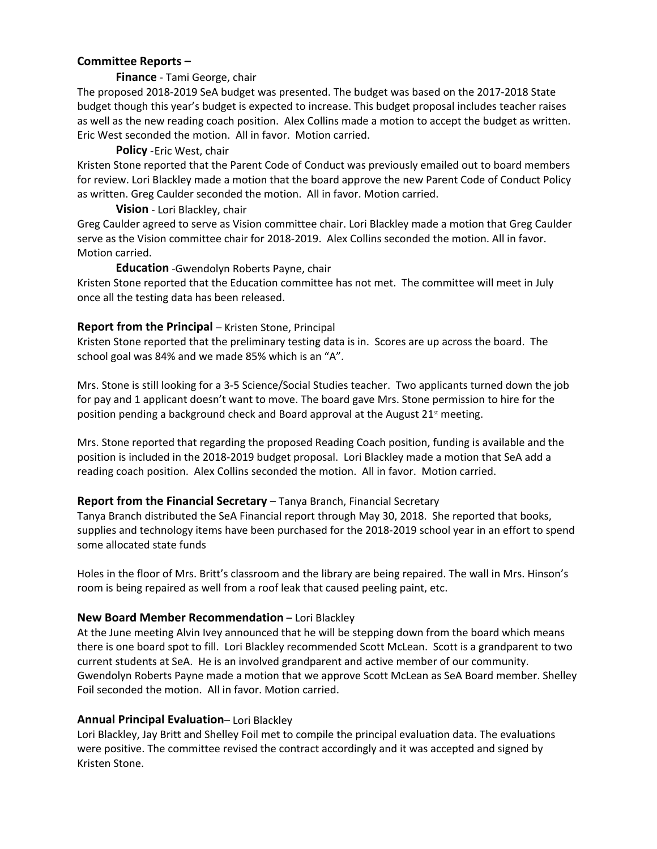#### **Committee Reports –**

#### **Finance** - Tami George, chair

The proposed 2018-2019 SeA budget was presented. The budget was based on the 2017-2018 State budget though this year's budget is expected to increase. This budget proposal includes teacher raises as well as the new reading coach position. Alex Collins made a motion to accept the budget as written. Eric West seconded the motion. All in favor. Motion carried.

#### **Policy** -Eric West, chair

Kristen Stone reported that the Parent Code of Conduct was previously emailed out to board members for review. Lori Blackley made a motion that the board approve the new Parent Code of Conduct Policy as written. Greg Caulder seconded the motion. All in favor. Motion carried.

#### **Vision** - Lori Blackley, chair

Greg Caulder agreed to serve as Vision committee chair. Lori Blackley made a motion that Greg Caulder serve as the Vision committee chair for 2018-2019. Alex Collins seconded the motion. All in favor. Motion carried.

#### **Education** -Gwendolyn Roberts Payne, chair

Kristen Stone reported that the Education committee has not met. The committee will meet in July once all the testing data has been released.

#### **Report from the Principal – Kristen Stone, Principal**

Kristen Stone reported that the preliminary testing data is in. Scores are up across the board. The school goal was 84% and we made 85% which is an "A".

Mrs. Stone is still looking for a 3-5 Science/Social Studies teacher. Two applicants turned down the job for pay and 1 applicant doesn't want to move. The board gave Mrs. Stone permission to hire for the position pending a background check and Board approval at the August  $21<sup>st</sup>$  meeting.

Mrs. Stone reported that regarding the proposed Reading Coach position, funding is available and the position is included in the 2018-2019 budget proposal. Lori Blackley made a motion that SeA add a reading coach position. Alex Collins seconded the motion. All in favor. Motion carried.

### **Report from the Financial Secretary** – Tanya Branch, Financial Secretary

Tanya Branch distributed the SeA Financial report through May 30, 2018. She reported that books, supplies and technology items have been purchased for the 2018-2019 school year in an effort to spend some allocated state funds

Holes in the floor of Mrs. Britt's classroom and the library are being repaired. The wall in Mrs. Hinson's room is being repaired as well from a roof leak that caused peeling paint, etc.

#### **New Board Member Recommendation** – Lori Blackley

At the June meeting Alvin Ivey announced that he will be stepping down from the board which means there is one board spot to fill. Lori Blackley recommended Scott McLean. Scott is a grandparent to two current students at SeA. He is an involved grandparent and active member of our community. Gwendolyn Roberts Payne made a motion that we approve Scott McLean as SeA Board member. Shelley Foil seconded the motion. All in favor. Motion carried.

### **Annual Principal Evaluation**– Lori Blackley

Lori Blackley, Jay Britt and Shelley Foil met to compile the principal evaluation data. The evaluations were positive. The committee revised the contract accordingly and it was accepted and signed by Kristen Stone.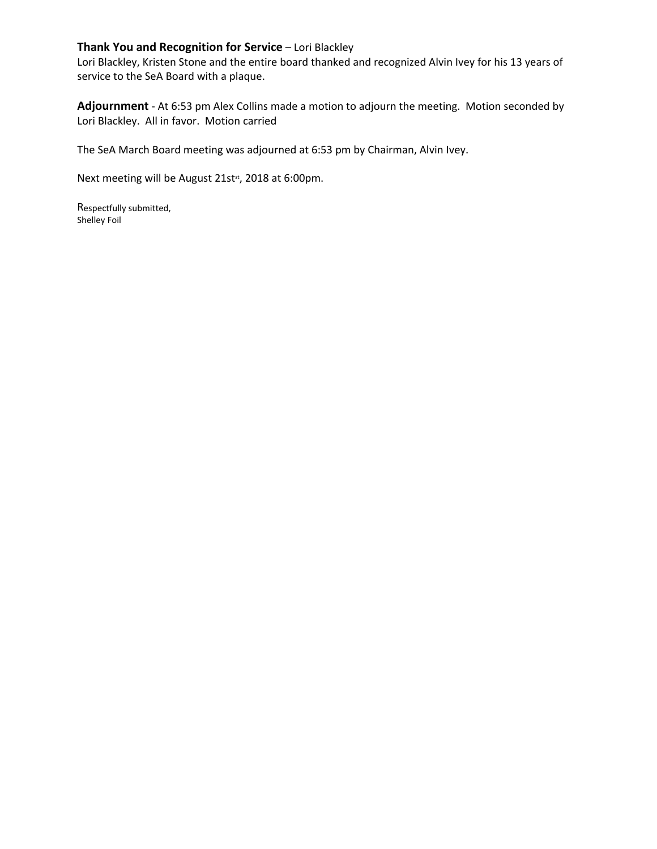### **Thank You and Recognition for Service** – Lori Blackley

Lori Blackley, Kristen Stone and the entire board thanked and recognized Alvin Ivey for his 13 years of service to the SeA Board with a plaque.

**Adjournment** - At 6:53 pm Alex Collins made a motion to adjourn the meeting. Motion seconded by Lori Blackley. All in favor. Motion carried

The SeA March Board meeting was adjourned at 6:53 pm by Chairman, Alvin Ivey.

Next meeting will be August 21st<sup>st</sup>, 2018 at 6:00pm.

Respectfully submitted, Shelley Foil